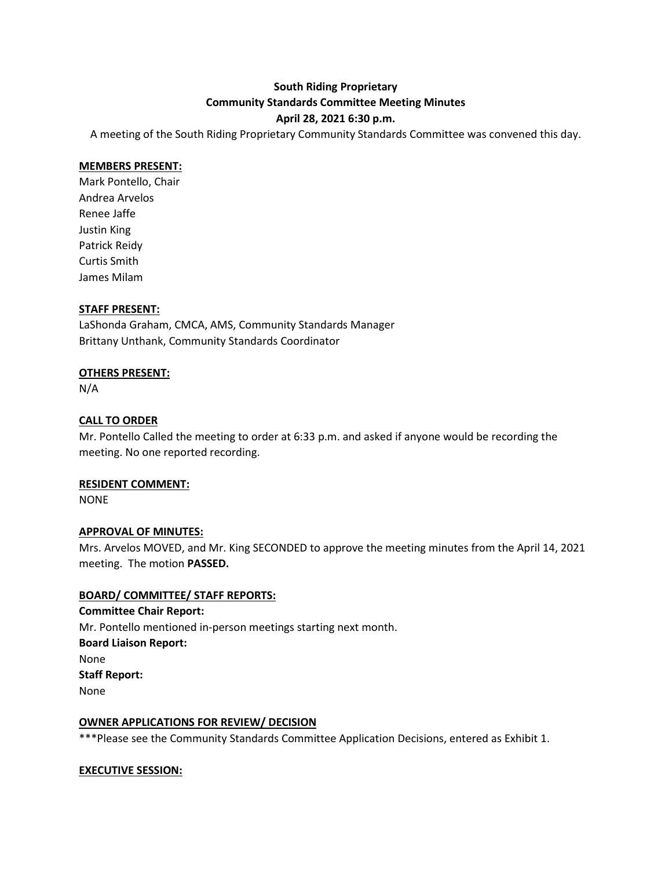## **South Riding Proprietary Community Standards Committee Meeting Minutes**

#### **April 28, 2021 6:30 p.m.**

A meeting of the South Riding Proprietary Community Standards Committee was convened this day.

#### **MEMBERS PRESENT:**

Mark Pontello, Chair Andrea Arvelos Renee Jaffe Justin King Patrick Reidy Curtis Smith James Milam

#### **STAFF PRESENT:**

LaShonda Graham, CMCA, AMS, Community Standards Manager Brittany Unthank, Community Standards Coordinator

#### **OTHERS PRESENT:**

N/A

#### **CALL TO ORDER**

Mr. Pontello Called the meeting to order at 6:33 p.m. and asked if anyone would be recording the meeting. No one reported recording.

#### **RESIDENT COMMENT:**

NONE

#### **APPROVAL OF MINUTES:**

Mrs. Arvelos MOVED, and Mr. King SECONDED to approve the meeting minutes from the April 14, 2021 meeting. The motion **PASSED.**

#### **BOARD/ COMMITTEE/ STAFF REPORTS:**

**Committee Chair Report:** Mr. Pontello mentioned in-person meetings starting next month. **Board Liaison Report:** None **Staff Report:** None

#### **OWNER APPLICATIONS FOR REVIEW/ DECISION**

\*\*\*Please see the Community Standards Committee Application Decisions, entered as Exhibit 1.

#### **EXECUTIVE SESSION:**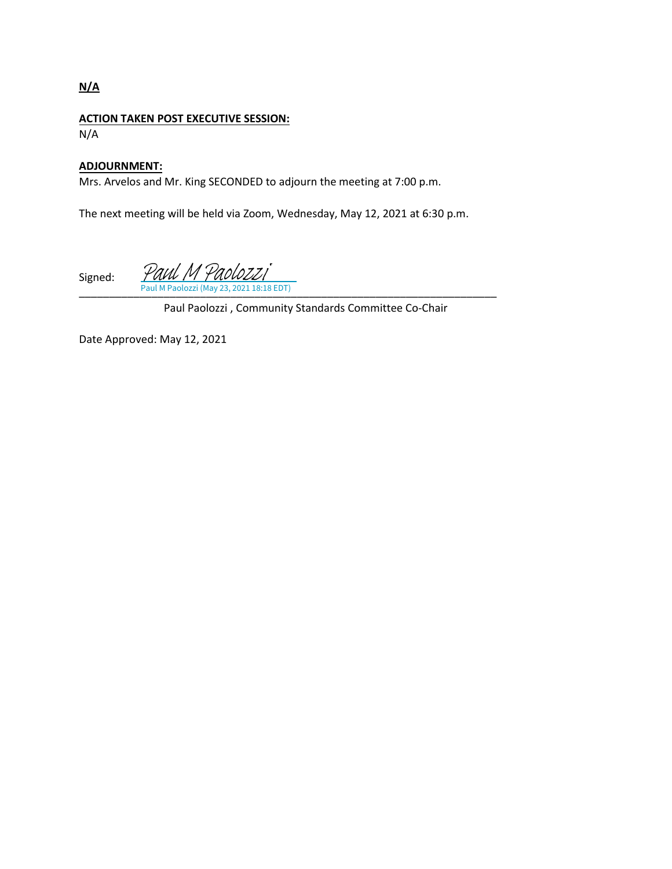### **N/A**

#### **ACTION TAKEN POST EXECUTIVE SESSION:** N/A

#### **ADJOURNMENT:**

Mrs. Arvelos and Mr. King SECONDED to adjourn the meeting at 7:00 p.m.

The next meeting will be held via Zoom, Wednesday, May 12, 2021 at 6:30 p.m.

Signed: \_\_\_\_\_\_\_\_\_\_[\\_\\_\\_\\_\\_\\_\\_\\_\\_\\_\\_\\_\\_\\_\\_\\_\\_\\_\\_\\_\\_\\_\\_\\_\\_\\_\\_\\_\\_\\_\\_\\_\\_\\_\\_\\_\\_\\_\\_\\_\\_\\_\\_\\_\\_\\_\\_\\_\\_\\_\\_\\_\\_\\_\\_\\_](https://na2.documents.adobe.com/verifier?tx=CBJCHBCAABAAeyhC1Y2imaKG8eY7PQnl1WKpQI11OT7e)\_\_\_ 2021 18:18 EDT) Paul M Paolozzi

Paul Paolozzi , Community Standards Committee Co-Chair

Date Approved: May 12, 2021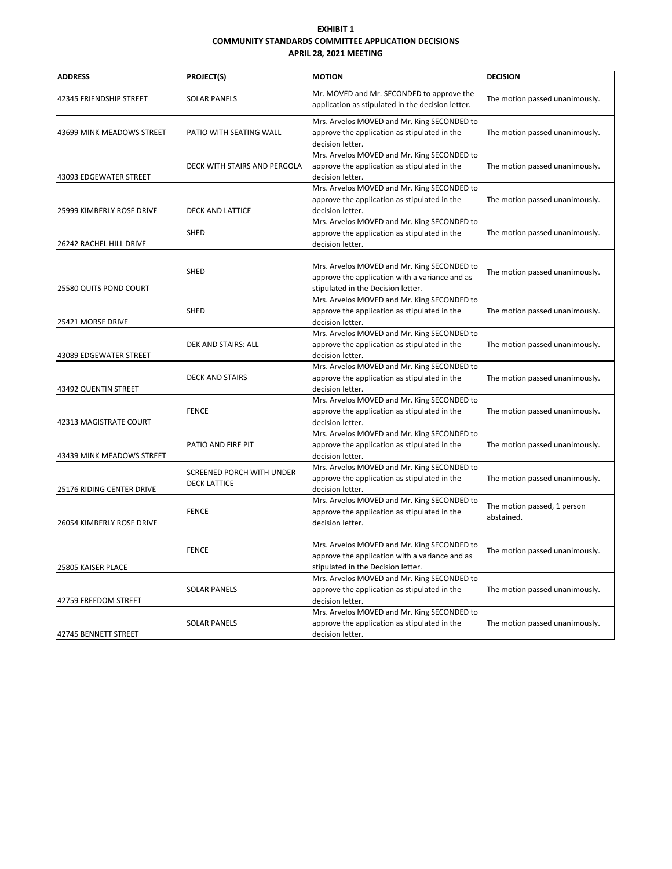#### **EXHIBIT 1 COMMUNITY STANDARDS COMMITTEE APPLICATION DECISIONS APRIL 28, 2021 MEETING**

| <b>ADDRESS</b>            | <b>PROJECT(S)</b>                                | <b>MOTION</b>                                                                                                                       | <b>DECISION</b>                           |
|---------------------------|--------------------------------------------------|-------------------------------------------------------------------------------------------------------------------------------------|-------------------------------------------|
| 42345 FRIENDSHIP STREET   | <b>SOLAR PANELS</b>                              | Mr. MOVED and Mr. SECONDED to approve the<br>application as stipulated in the decision letter.                                      | The motion passed unanimously.            |
| 43699 MINK MEADOWS STREET | PATIO WITH SEATING WALL                          | Mrs. Arvelos MOVED and Mr. King SECONDED to<br>approve the application as stipulated in the<br>decision letter.                     | The motion passed unanimously.            |
| 43093 EDGEWATER STREET    | DECK WITH STAIRS AND PERGOLA                     | Mrs. Arvelos MOVED and Mr. King SECONDED to<br>approve the application as stipulated in the<br>decision letter.                     | The motion passed unanimously.            |
| 25999 KIMBERLY ROSE DRIVE | DECK AND LATTICE                                 | Mrs. Arvelos MOVED and Mr. King SECONDED to<br>approve the application as stipulated in the<br>decision letter.                     | The motion passed unanimously.            |
| 26242 RACHEL HILL DRIVE   | SHED                                             | Mrs. Arvelos MOVED and Mr. King SECONDED to<br>approve the application as stipulated in the<br>decision letter.                     | The motion passed unanimously.            |
| 25580 QUITS POND COURT    | SHED                                             | Mrs. Arvelos MOVED and Mr. King SECONDED to<br>approve the application with a variance and as<br>stipulated in the Decision letter. | The motion passed unanimously.            |
| 25421 MORSE DRIVE         | SHED                                             | Mrs. Arvelos MOVED and Mr. King SECONDED to<br>approve the application as stipulated in the<br>decision letter.                     | The motion passed unanimously.            |
| 43089 EDGEWATER STREET    | DEK AND STAIRS: ALL                              | Mrs. Arvelos MOVED and Mr. King SECONDED to<br>approve the application as stipulated in the<br>decision letter.                     | The motion passed unanimously.            |
| 43492 QUENTIN STREET      | <b>DECK AND STAIRS</b>                           | Mrs. Arvelos MOVED and Mr. King SECONDED to<br>approve the application as stipulated in the<br>decision letter.                     | The motion passed unanimously.            |
| 42313 MAGISTRATE COURT    | <b>FENCE</b>                                     | Mrs. Arvelos MOVED and Mr. King SECONDED to<br>approve the application as stipulated in the<br>decision letter.                     | The motion passed unanimously.            |
| 43439 MINK MEADOWS STREET | PATIO AND FIRE PIT                               | Mrs. Arvelos MOVED and Mr. King SECONDED to<br>approve the application as stipulated in the<br>decision letter.                     | The motion passed unanimously.            |
| 25176 RIDING CENTER DRIVE | SCREENED PORCH WITH UNDER<br><b>DECK LATTICE</b> | Mrs. Arvelos MOVED and Mr. King SECONDED to<br>approve the application as stipulated in the<br>decision letter.                     | The motion passed unanimously.            |
| 26054 KIMBERLY ROSE DRIVE | <b>FENCE</b>                                     | Mrs. Arvelos MOVED and Mr. King SECONDED to<br>approve the application as stipulated in the<br>decision letter.                     | The motion passed, 1 person<br>abstained. |
| 25805 KAISER PLACE        | <b>FENCE</b>                                     | Mrs. Arvelos MOVED and Mr. King SECONDED to<br>approve the application with a variance and as<br>stipulated in the Decision letter. | The motion passed unanimously.            |
| 42759 FREEDOM STREET      | <b>SOLAR PANELS</b>                              | Mrs. Arvelos MOVED and Mr. King SECONDED to<br>approve the application as stipulated in the<br>decision letter.                     | The motion passed unanimously.            |
| 42745 BENNETT STREET      | <b>SOLAR PANELS</b>                              | Mrs. Arvelos MOVED and Mr. King SECONDED to<br>approve the application as stipulated in the<br>decision letter.                     | The motion passed unanimously.            |